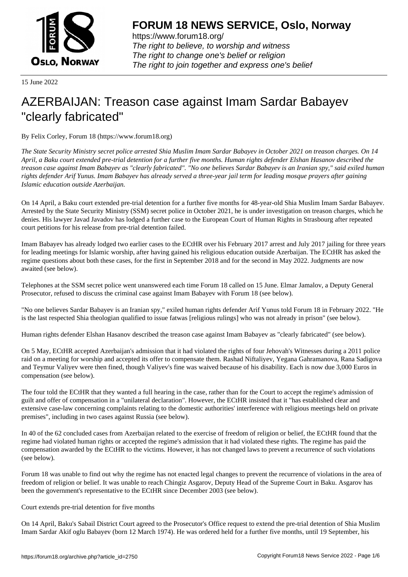

https://www.forum18.org/ The right to believe, to worship and witness The right to change one's belief or religion [The right to join together a](https://www.forum18.org/)nd express one's belief

15 June 2022

## [AZERBAIJAN: T](https://www.forum18.org)reason case against Imam Sardar Babayev "clearly fabricated"

By Felix Corley, Forum 18 (https://www.forum18.org)

*The State Security Ministry secret police arrested Shia Muslim Imam Sardar Babayev in October 2021 on treason charges. On 14 April, a Baku court extended pre-trial detention for a further five months. Human rights defender Elshan Hasanov described the treason case against Imam Babayev as "clearly fabricated". "No one believes Sardar Babayev is an Iranian spy," said exiled human rights defender Arif Yunus. Imam Babayev has already served a three-year jail term for leading mosque prayers after gaining Islamic education outside Azerbaijan.*

On 14 April, a Baku court extended pre-trial detention for a further five months for 48-year-old Shia Muslim Imam Sardar Babayev. Arrested by the State Security Ministry (SSM) secret police in October 2021, he is under investigation on treason charges, which he denies. His lawyer Javad Javadov has lodged a further case to the European Court of Human Rights in Strasbourg after repeated court petitions for his release from pre-trial detention failed.

Imam Babayev has already lodged two earlier cases to the ECtHR over his February 2017 arrest and July 2017 jailing for three years for leading meetings for Islamic worship, after having gained his religious education outside Azerbaijan. The ECtHR has asked the regime questions about both these cases, for the first in September 2018 and for the second in May 2022. Judgments are now awaited (see below).

Telephones at the SSM secret police went unanswered each time Forum 18 called on 15 June. Elmar Jamalov, a Deputy General Prosecutor, refused to discuss the criminal case against Imam Babayev with Forum 18 (see below).

"No one believes Sardar Babayev is an Iranian spy," exiled human rights defender Arif Yunus told Forum 18 in February 2022. "He is the last respected Shia theologian qualified to issue fatwas [religious rulings] who was not already in prison" (see below).

Human rights defender Elshan Hasanov described the treason case against Imam Babayev as "clearly fabricated" (see below).

On 5 May, ECtHR accepted Azerbaijan's admission that it had violated the rights of four Jehovah's Witnesses during a 2011 police raid on a meeting for worship and accepted its offer to compensate them. Rashad Niftaliyev, Yegana Gahramanova, Rana Sadigova and Teymur Valiyev were then fined, though Valiyev's fine was waived because of his disability. Each is now due 3,000 Euros in compensation (see below).

The four told the ECtHR that they wanted a full hearing in the case, rather than for the Court to accept the regime's admission of guilt and offer of compensation in a "unilateral declaration". However, the ECtHR insisted that it "has established clear and extensive case-law concerning complaints relating to the domestic authorities' interference with religious meetings held on private premises", including in two cases against Russia (see below).

In 40 of the 62 concluded cases from Azerbaijan related to the exercise of freedom of religion or belief, the ECtHR found that the regime had violated human rights or accepted the regime's admission that it had violated these rights. The regime has paid the compensation awarded by the ECtHR to the victims. However, it has not changed laws to prevent a recurrence of such violations (see below).

Forum 18 was unable to find out why the regime has not enacted legal changes to prevent the recurrence of violations in the area of freedom of religion or belief. It was unable to reach Chingiz Asgarov, Deputy Head of the Supreme Court in Baku. Asgarov has been the government's representative to the ECtHR since December 2003 (see below).

Court extends pre-trial detention for five months

On 14 April, Baku's Sabail District Court agreed to the Prosecutor's Office request to extend the pre-trial detention of Shia Muslim Imam Sardar Akif oglu Babayev (born 12 March 1974). He was ordered held for a further five months, until 19 September, his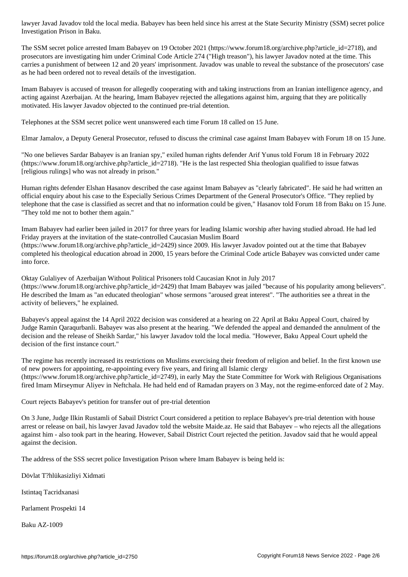The SSM secret police arrested Imam Babayev on 19 October 2021 (https://www.forum18.org/archive.php?article\_id=2718), and prosecutors are investigating him under Criminal Code Article 274 ("High treason"), his lawyer Javadov noted at the time. This carries a punishment of between 12 and 20 years' imprisonment. Javadov was unable to reveal the substance of the prosecutors' case as he had been ordered not to reveal details of the investigation.

Imam Babayev is accused of treason for allegedly cooperating with and taking instructions from an Iranian intelligence agency, and acting against Azerbaijan. At the hearing, Imam Babayev rejected the allegations against him, arguing that they are politically motivated. His lawyer Javadov objected to the continued pre-trial detention.

Telephones at the SSM secret police went unanswered each time Forum 18 called on 15 June.

Elmar Jamalov, a Deputy General Prosecutor, refused to discuss the criminal case against Imam Babayev with Forum 18 on 15 June.

"No one believes Sardar Babayev is an Iranian spy," exiled human rights defender Arif Yunus told Forum 18 in February 2022 (https://www.forum18.org/archive.php?article\_id=2718). "He is the last respected Shia theologian qualified to issue fatwas [religious rulings] who was not already in prison."

Human rights defender Elshan Hasanov described the case against Imam Babayev as "clearly fabricated". He said he had written an official enquiry about his case to the Especially Serious Crimes Department of the General Prosecutor's Office. "They replied by telephone that the case is classified as secret and that no information could be given," Hasanov told Forum 18 from Baku on 15 June. "They told me not to bother them again."

Imam Babayev had earlier been jailed in 2017 for three years for leading Islamic worship after having studied abroad. He had led Friday prayers at the invitation of the state-controlled Caucasian Muslim Board (https://www.forum18.org/archive.php?article\_id=2429) since 2009. His lawyer Javadov pointed out at the time that Babayev completed his theological education abroad in 2000, 15 years before the Criminal Code article Babayev was convicted under came into force.

Oktay Gulaliyev of Azerbaijan Without Political Prisoners told Caucasian Knot in July 2017 (https://www.forum18.org/archive.php?article\_id=2429) that Imam Babayev was jailed "because of his popularity among believers". He described the Imam as "an educated theologian" whose sermons "aroused great interest". "The authorities see a threat in the activity of believers," he explained.

Babayev's appeal against the 14 April 2022 decision was considered at a hearing on 22 April at Baku Appeal Court, chaired by Judge Ramin Qaraqurbanli. Babayev was also present at the hearing. "We defended the appeal and demanded the annulment of the decision and the release of Sheikh Sardar," his lawyer Javadov told the local media. "However, Baku Appeal Court upheld the decision of the first instance court."

The regime has recently increased its restrictions on Muslims exercising their freedom of religion and belief. In the first known use of new powers for appointing, re-appointing every five years, and firing all Islamic clergy (https://www.forum18.org/archive.php?article\_id=2749), in early May the State Committee for Work with Religious Organisations fired Imam Mirseymur Aliyev in Neftchala. He had held end of Ramadan prayers on 3 May, not the regime-enforced date of 2 May.

Court rejects Babayev's petition for transfer out of pre-trial detention

On 3 June, Judge Ilkin Rustamli of Sabail District Court considered a petition to replace Babayev's pre-trial detention with house arrest or release on bail, his lawyer Javad Javadov told the website Maide.az. He said that Babayev – who rejects all the allegations against him - also took part in the hearing. However, Sabail District Court rejected the petition. Javadov said that he would appeal against the decision.

The address of the SSS secret police Investigation Prison where Imam Babayev is being held is:

Dövlat T?hlükasizliyi Xidmati

Investigation Prison in Baku.

Istintaq Tacridxanasi

Parlament Prospekti 14

Baku AZ-1009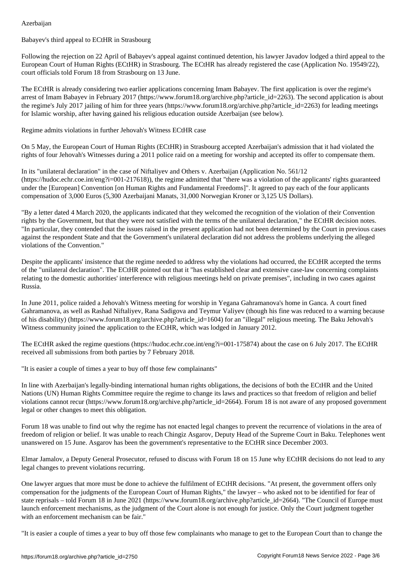Babayev's third appeal to ECtHR in Strasbourg

Following the rejection on 22 April of Babayev's appeal against continued detention, his lawyer Javadov lodged a third appeal to the European Court of Human Rights (ECtHR) in Strasbourg. The ECtHR has already registered the case (Application No. 19549/22), court officials told Forum 18 from Strasbourg on 13 June.

The ECtHR is already considering two earlier applications concerning Imam Babayev. The first application is over the regime's arrest of Imam Babayev in February 2017 (https://www.forum18.org/archive.php?article\_id=2263). The second application is about the regime's July 2017 jailing of him for three years (https://www.forum18.org/archive.php?article\_id=2263) for leading meetings for Islamic worship, after having gained his religious education outside Azerbaijan (see below).

Regime admits violations in further Jehovah's Witness ECtHR case

On 5 May, the European Court of Human Rights (ECtHR) in Strasbourg accepted Azerbaijan's admission that it had violated the rights of four Jehovah's Witnesses during a 2011 police raid on a meeting for worship and accepted its offer to compensate them.

In its "unilateral declaration" in the case of Niftaliyev and Others v. Azerbaijan (Application No. 561/12 (https://hudoc.echr.coe.int/eng?i=001-217618)), the regime admitted that "there was a violation of the applicants' rights guaranteed under the [European] Convention [on Human Rights and Fundamental Freedoms]". It agreed to pay each of the four applicants compensation of 3,000 Euros (5,300 Azerbaijani Manats, 31,000 Norwegian Kroner or 3,125 US Dollars).

"By a letter dated 4 March 2020, the applicants indicated that they welcomed the recognition of the violation of their Convention rights by the Government, but that they were not satisfied with the terms of the unilateral declaration," the ECtHR decision notes. "In particular, they contended that the issues raised in the present application had not been determined by the Court in previous cases against the respondent State and that the Government's unilateral declaration did not address the problems underlying the alleged violations of the Convention."

Despite the applicants' insistence that the regime needed to address why the violations had occurred, the ECtHR accepted the terms of the "unilateral declaration". The ECtHR pointed out that it "has established clear and extensive case-law concerning complaints relating to the domestic authorities' interference with religious meetings held on private premises", including in two cases against Russia.

In June 2011, police raided a Jehovah's Witness meeting for worship in Yegana Gahramanova's home in Ganca. A court fined Gahramanova, as well as Rashad Niftaliyev, Rana Sadigova and Teymur Valiyev (though his fine was reduced to a warning because of his disability) (https://www.forum18.org/archive.php?article\_id=1604) for an "illegal" religious meeting. The Baku Jehovah's Witness community joined the application to the ECtHR, which was lodged in January 2012.

The ECtHR asked the regime questions (https://hudoc.echr.coe.int/eng?i=001-175874) about the case on 6 July 2017. The ECtHR received all submissions from both parties by 7 February 2018.

"It is easier a couple of times a year to buy off those few complainants"

In line with Azerbaijan's legally-binding international human rights obligations, the decisions of both the ECtHR and the United Nations (UN) Human Rights Committee require the regime to change its laws and practices so that freedom of religion and belief violations cannot recur (https://www.forum18.org/archive.php?article\_id=2664). Forum 18 is not aware of any proposed government legal or other changes to meet this obligation.

Forum 18 was unable to find out why the regime has not enacted legal changes to prevent the recurrence of violations in the area of freedom of religion or belief. It was unable to reach Chingiz Asgarov, Deputy Head of the Supreme Court in Baku. Telephones went unanswered on 15 June. Asgarov has been the government's representative to the ECtHR since December 2003.

Elmar Jamalov, a Deputy General Prosecutor, refused to discuss with Forum 18 on 15 June why ECtHR decisions do not lead to any legal changes to prevent violations recurring.

One lawyer argues that more must be done to achieve the fulfilment of ECtHR decisions. "At present, the government offers only compensation for the judgments of the European Court of Human Rights," the lawyer – who asked not to be identified for fear of state reprisals – told Forum 18 in June 2021 (https://www.forum18.org/archive.php?article\_id=2664). "The Council of Europe must launch enforcement mechanisms, as the judgment of the Court alone is not enough for justice. Only the Court judgment together with an enforcement mechanism can be fair."

"It is easier a couple of times a year to buy off those few complainants who manage to get to the European Court than to change the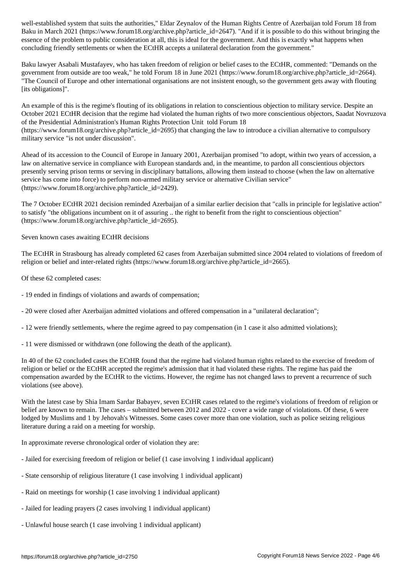$\mathcal{S}$  in March 2021 (https://www.forumlar.com/article\_id=2647). In its possible to do this without bringing the intervals of its isometrical to do this without bringing the intervals to do this without bringing the int essence of the problem to public consideration at all, this is ideal for the government. And this is exactly what happens when concluding friendly settlements or when the ECtHR accepts a unilateral declaration from the government."

Baku lawyer Asabali Mustafayev, who has taken freedom of religion or belief cases to the ECtHR, commented: "Demands on the government from outside are too weak," he told Forum 18 in June 2021 (https://www.forum18.org/archive.php?article\_id=2664). "The Council of Europe and other international organisations are not insistent enough, so the government gets away with flouting [its obligations]".

An example of this is the regime's flouting of its obligations in relation to conscientious objection to military service. Despite an October 2021 ECtHR decision that the regime had violated the human rights of two more conscientious objectors, Saadat Novruzova of the Presidential Administration's Human Rights Protection Unit told Forum 18  $(\text{https://www.forum18.org/archive.php?article id=2695})$  that changing the law to introduce a civilian alternative to compulsory military service "is not under discussion".

Ahead of its accession to the Council of Europe in January 2001, Azerbaijan promised "to adopt, within two years of accession, a law on alternative service in compliance with European standards and, in the meantime, to pardon all conscientious objectors presently serving prison terms or serving in disciplinary battalions, allowing them instead to choose (when the law on alternative service has come into force) to perform non-armed military service or alternative Civilian service" (https://www.forum18.org/archive.php?article\_id=2429).

The 7 October ECtHR 2021 decision reminded Azerbaijan of a similar earlier decision that "calls in principle for legislative action" to satisfy "the obligations incumbent on it of assuring .. the right to benefit from the right to conscientious objection" (https://www.forum18.org/archive.php?article\_id=2695).

Seven known cases awaiting ECtHR decisions

The ECtHR in Strasbourg has already completed 62 cases from Azerbaijan submitted since 2004 related to violations of freedom of religion or belief and inter-related rights (https://www.forum18.org/archive.php?article\_id=2665).

Of these 62 completed cases:

- 19 ended in findings of violations and awards of compensation;
- 20 were closed after Azerbaijan admitted violations and offered compensation in a "unilateral declaration";
- 12 were friendly settlements, where the regime agreed to pay compensation (in 1 case it also admitted violations);
- 11 were dismissed or withdrawn (one following the death of the applicant).

In 40 of the 62 concluded cases the ECtHR found that the regime had violated human rights related to the exercise of freedom of religion or belief or the ECtHR accepted the regime's admission that it had violated these rights. The regime has paid the compensation awarded by the ECtHR to the victims. However, the regime has not changed laws to prevent a recurrence of such violations (see above).

With the latest case by Shia Imam Sardar Babayev, seven ECtHR cases related to the regime's violations of freedom of religion or belief are known to remain. The cases – submitted between 2012 and 2022 - cover a wide range of violations. Of these, 6 were lodged by Muslims and 1 by Jehovah's Witnesses. Some cases cover more than one violation, such as police seizing religious literature during a raid on a meeting for worship.

In approximate reverse chronological order of violation they are:

- Jailed for exercising freedom of religion or belief (1 case involving 1 individual applicant)
- State censorship of religious literature (1 case involving 1 individual applicant)
- Raid on meetings for worship (1 case involving 1 individual applicant)
- Jailed for leading prayers (2 cases involving 1 individual applicant)
- Unlawful house search (1 case involving 1 individual applicant)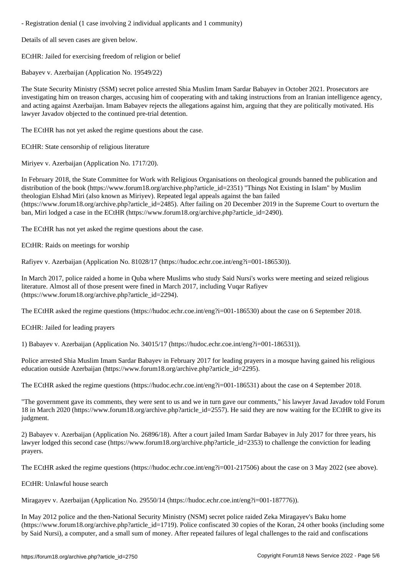Details of all seven cases are given below.

ECtHR: Jailed for exercising freedom of religion or belief

Babayev v. Azerbaijan (Application No. 19549/22)

The State Security Ministry (SSM) secret police arrested Shia Muslim Imam Sardar Babayev in October 2021. Prosecutors are investigating him on treason charges, accusing him of cooperating with and taking instructions from an Iranian intelligence agency, and acting against Azerbaijan. Imam Babayev rejects the allegations against him, arguing that they are politically motivated. His lawyer Javadov objected to the continued pre-trial detention.

The ECtHR has not yet asked the regime questions about the case.

ECtHR: State censorship of religious literature

Miriyev v. Azerbaijan (Application No. 1717/20).

In February 2018, the State Committee for Work with Religious Organisations on theological grounds banned the publication and distribution of the book (https://www.forum18.org/archive.php?article\_id=2351) "Things Not Existing in Islam" by Muslim theologian Elshad Miri (also known as Miriyev). Repeated legal appeals against the ban failed (https://www.forum18.org/archive.php?article\_id=2485). After failing on 20 December 2019 in the Supreme Court to overturn the ban, Miri lodged a case in the ECtHR (https://www.forum18.org/archive.php?article\_id=2490).

The ECtHR has not yet asked the regime questions about the case.

ECtHR: Raids on meetings for worship

Rafiyev v. Azerbaijan (Application No. 81028/17 (https://hudoc.echr.coe.int/eng?i=001-186530)).

In March 2017, police raided a home in Quba where Muslims who study Said Nursi's works were meeting and seized religious literature. Almost all of those present were fined in March 2017, including Vuqar Rafiyev (https://www.forum18.org/archive.php?article\_id=2294).

The ECtHR asked the regime questions (https://hudoc.echr.coe.int/eng?i=001-186530) about the case on 6 September 2018.

ECtHR: Jailed for leading prayers

1) Babayev v. Azerbaijan (Application No. 34015/17 (https://hudoc.echr.coe.int/eng?i=001-186531)).

Police arrested Shia Muslim Imam Sardar Babayev in February 2017 for leading prayers in a mosque having gained his religious education outside Azerbaijan (https://www.forum18.org/archive.php?article\_id=2295).

The ECtHR asked the regime questions (https://hudoc.echr.coe.int/eng?i=001-186531) about the case on 4 September 2018.

"The government gave its comments, they were sent to us and we in turn gave our comments," his lawyer Javad Javadov told Forum 18 in March 2020 (https://www.forum18.org/archive.php?article\_id=2557). He said they are now waiting for the ECtHR to give its judgment.

2) Babayev v. Azerbaijan (Application No. 26896/18). After a court jailed Imam Sardar Babayev in July 2017 for three years, his lawyer lodged this second case (https://www.forum18.org/archive.php?article\_id=2353) to challenge the conviction for leading prayers.

The ECtHR asked the regime questions (https://hudoc.echr.coe.int/eng?i=001-217506) about the case on 3 May 2022 (see above).

ECtHR: Unlawful house search

Miragayev v. Azerbaijan (Application No. 29550/14 (https://hudoc.echr.coe.int/eng?i=001-187776)).

In May 2012 police and the then-National Security Ministry (NSM) secret police raided Zeka Miragayev's Baku home (https://www.forum18.org/archive.php?article\_id=1719). Police confiscated 30 copies of the Koran, 24 other books (including some by Said Nursi), a computer, and a small sum of money. After repeated failures of legal challenges to the raid and confiscations